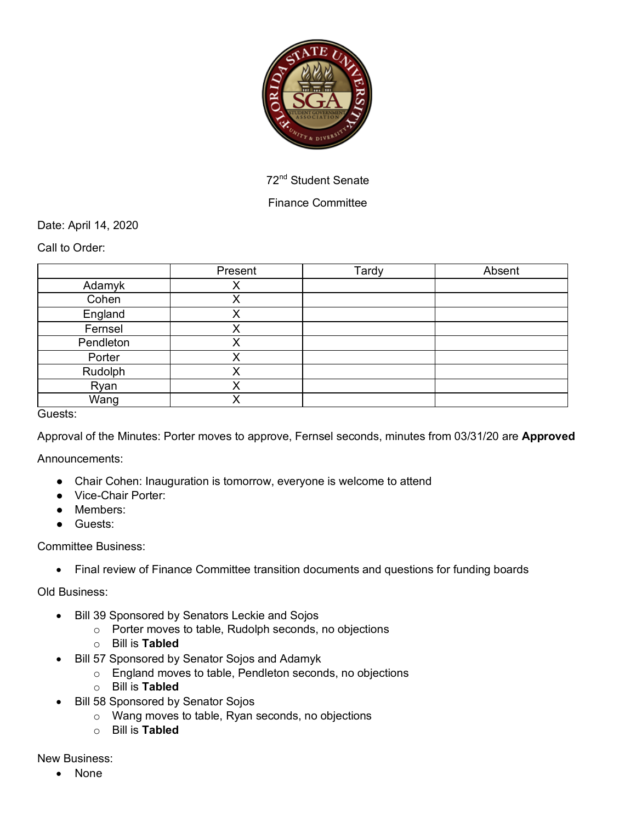

72nd Student Senate

## Finance Committee

Date: April 14, 2020

Call to Order:

|               | Present | Tardy | Absent |
|---------------|---------|-------|--------|
| Adamyk        |         |       |        |
| Cohen         | ∧       |       |        |
| England       | v       |       |        |
| Fernsel       | X       |       |        |
| Pendleton     | v<br>⌒  |       |        |
| Porter        | X       |       |        |
| Rudolph       |         |       |        |
| Ryan          | v<br>∧  |       |        |
| Wang          |         |       |        |
| $\sim$ $\sim$ |         |       |        |

Guests:

Approval of the Minutes: Porter moves to approve, Fernsel seconds, minutes from 03/31/20 are **Approved**

Announcements:

- Chair Cohen: Inauguration is tomorrow, everyone is welcome to attend
- Vice-Chair Porter:
- Members:
- Guests:

## Committee Business:

• Final review of Finance Committee transition documents and questions for funding boards

Old Business:

- Bill 39 Sponsored by Senators Leckie and Sojos
	- o Porter moves to table, Rudolph seconds, no objections
	- o Bill is **Tabled**
- Bill 57 Sponsored by Senator Sojos and Adamyk
	- o England moves to table, Pendleton seconds, no objections
	- o Bill is **Tabled**
- Bill 58 Sponsored by Senator Sojos
	- o Wang moves to table, Ryan seconds, no objections
	- o Bill is **Tabled**

New Business:

• None